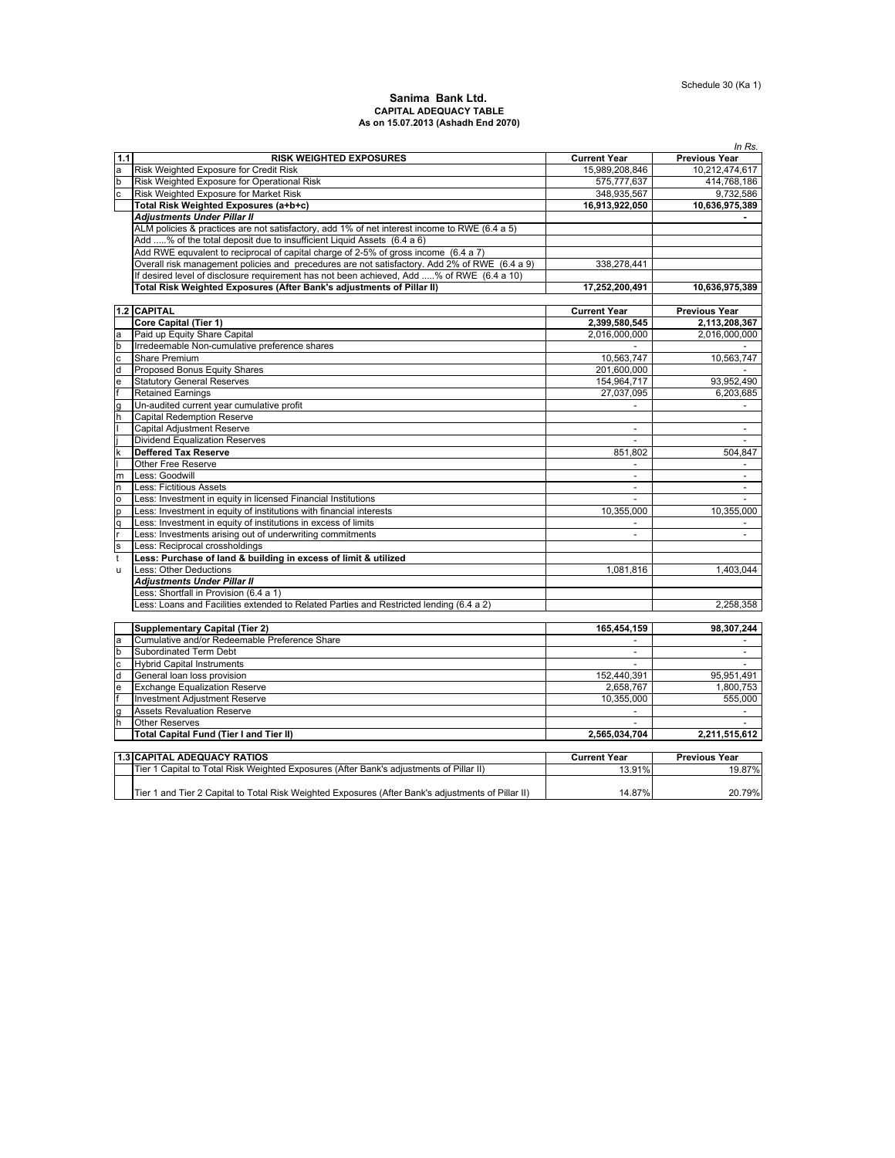### **Sanima Bank Ltd. CAPITAL ADEQUACY TABLE As on 15.07.2013 (Ashadh End 2070)**

|                |                                                                                                    |                          | In Rs.               |
|----------------|----------------------------------------------------------------------------------------------------|--------------------------|----------------------|
| 1.1            | <b>RISK WEIGHTED EXPOSURES</b>                                                                     | <b>Current Year</b>      | <b>Previous Year</b> |
| a              | Risk Weighted Exposure for Credit Risk                                                             | 15,989,208,846           | 10,212,474,617       |
| $\mathsf b$    | Risk Weighted Exposure for Operational Risk                                                        | 575,777,637              | 414,768,186          |
|                | Risk Weighted Exposure for Market Risk                                                             | 348,935,567              | 9,732,586            |
|                | Total Risk Weighted Exposures (a+b+c)                                                              | 16,913,922,050           | 10,636,975,389       |
|                | <b>Adjustments Under Pillar II</b>                                                                 |                          |                      |
|                | ALM policies & practices are not satisfactory, add 1% of net interest income to RWE (6.4 a 5)      |                          |                      |
|                | Add % of the total deposit due to insufficient Liquid Assets (6.4 a 6)                             |                          |                      |
|                | Add RWE equvalent to reciprocal of capital charge of 2-5% of gross income (6.4 a 7)                |                          |                      |
|                | Overall risk management policies and precedures are not satisfactory. Add 2% of RWE (6.4 a 9)      | 338,278,441              |                      |
|                | If desired level of disclosure requirement has not been achieved, Add % of RWE (6.4 a 10)          |                          |                      |
|                | Total Risk Weighted Exposures (After Bank's adjustments of Pillar II)                              | 17,252,200,491           | 10,636,975,389       |
|                |                                                                                                    |                          |                      |
|                | 1.2 CAPITAL                                                                                        |                          |                      |
|                |                                                                                                    | <b>Current Year</b>      | <b>Previous Year</b> |
|                | <b>Core Capital (Tier 1)</b>                                                                       | 2,399,580,545            | 2,113,208,367        |
| a              | Paid up Equity Share Capital                                                                       | 2,016,000,000            | 2,016,000,000        |
| b              | Irredeemable Non-cumulative preference shares                                                      |                          |                      |
| $\overline{c}$ | Share Premium                                                                                      | 10,563,747               | 10.563.747           |
| d              | Proposed Bonus Equity Shares                                                                       | 201,600,000              |                      |
| e              | <b>Statutory General Reserves</b>                                                                  | 154,964,717              | 93,952,490           |
|                | <b>Retained Earnings</b>                                                                           | 27.037.095               | 6,203,685            |
| g              | Un-audited current year cumulative profit                                                          | $\overline{\phantom{a}}$ |                      |
| h              | <b>Capital Redemption Reserve</b>                                                                  |                          |                      |
|                | <b>Capital Adjustment Reserve</b>                                                                  | $\sim$                   | $\sim$               |
|                | <b>Dividend Equalization Reserves</b>                                                              |                          |                      |
| $\mathsf k$    | <b>Deffered Tax Reserve</b>                                                                        | 851,802                  | 504,847              |
|                | Other Free Reserve                                                                                 | $\omega$                 |                      |
| m              | Less: Goodwill                                                                                     | $\sim$                   | $\blacksquare$       |
| n              | Less: Fictitious Assets                                                                            | $\omega$                 | $\blacksquare$       |
| $\circ$        | Less: Investment in equity in licensed Financial Institutions                                      |                          |                      |
| p              | Less: Investment in equity of institutions with financial interests                                | 10,355,000               | 10,355,000           |
| q              | Less: Investment in equity of institutions in excess of limits                                     | $\overline{\phantom{a}}$ |                      |
|                | Less: Investments arising out of underwriting commitments                                          | $\overline{a}$           |                      |
| s              | Less: Reciprocal crossholdings                                                                     |                          |                      |
| t              | Less: Purchase of land & building in excess of limit & utilized                                    |                          |                      |
| u              | Less: Other Deductions                                                                             | 1,081,816                | 1,403,044            |
|                | <b>Adjustments Under Pillar II</b>                                                                 |                          |                      |
|                | Less: Shortfall in Provision (6.4 a 1)                                                             |                          |                      |
|                |                                                                                                    |                          |                      |
|                | Less: Loans and Facilities extended to Related Parties and Restricted lending (6.4 a 2)            |                          | 2,258,358            |
|                |                                                                                                    |                          |                      |
|                | <b>Supplementary Capital (Tier 2)</b>                                                              | 165,454,159              | 98,307,244           |
| a              | Cumulative and/or Redeemable Preference Share                                                      |                          |                      |
| b              | Subordinated Term Debt                                                                             | $\sim$                   | $\sim$               |
| $\mathbf c$    | <b>Hybrid Capital Instruments</b>                                                                  |                          |                      |
| d              | General loan loss provision                                                                        | 152,440,391              | 95,951,491           |
| e              | <b>Exchange Equalization Reserve</b>                                                               | 2,658,767                | 1,800,753            |
|                | <b>Investment Adjustment Reserve</b>                                                               | 10,355,000               | 555,000              |
| g              | <b>Assets Revaluation Reserve</b>                                                                  |                          |                      |
| h              | <b>Other Reserves</b>                                                                              |                          |                      |
|                | Total Capital Fund (Tier I and Tier II)                                                            | 2,565,034,704            | 2,211,515,612        |
|                |                                                                                                    |                          |                      |
|                | 1.3 CAPITAL ADEQUACY RATIOS                                                                        | <b>Current Year</b>      | <b>Previous Year</b> |
|                | Tier 1 Capital to Total Risk Weighted Exposures (After Bank's adjustments of Pillar II)            | 13.91%                   | 19.87%               |
|                |                                                                                                    |                          |                      |
|                | Tier 1 and Tier 2 Capital to Total Risk Weighted Exposures (After Bank's adjustments of Pillar II) | 14.87%                   | 20.79%               |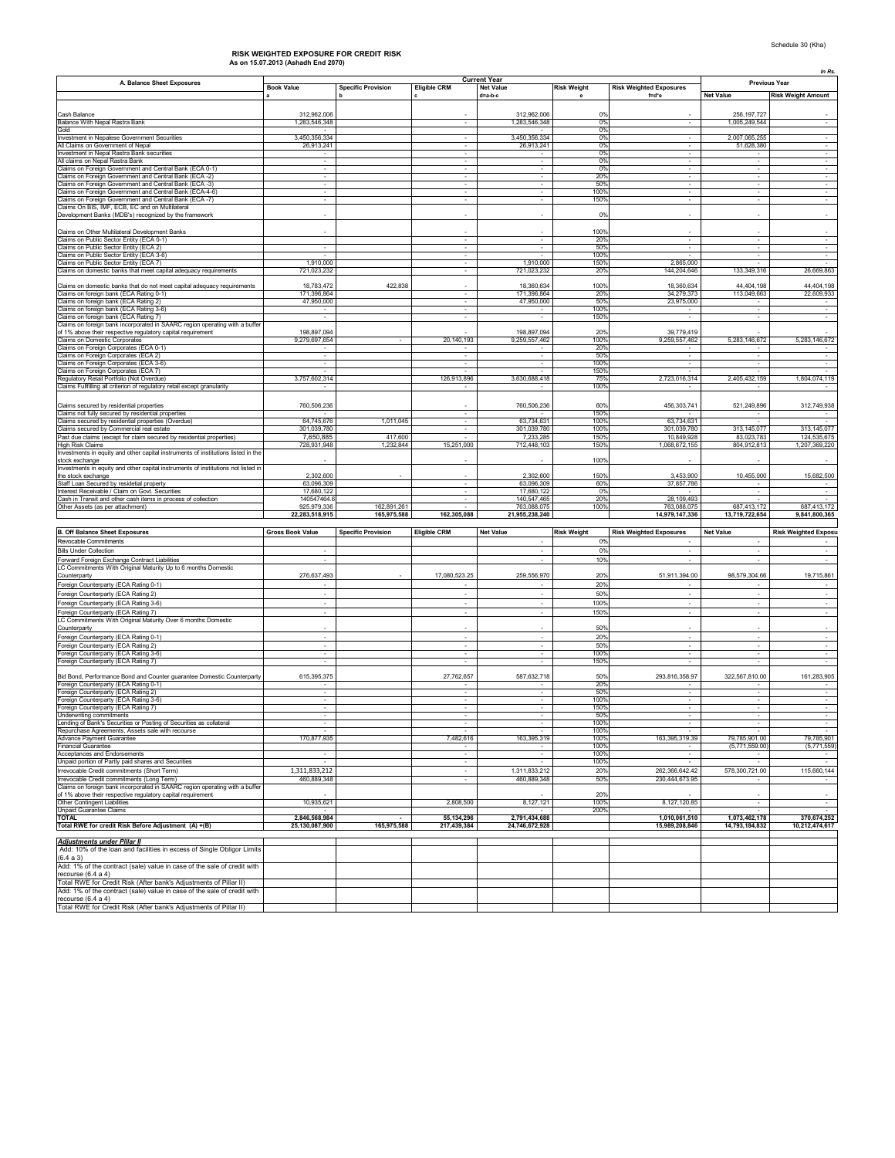# **As on 15.07.2013 (Ashadh End 2070) RISK WEIGHTED EXPOSURE FOR CREDIT RISK**

|                                                                                         |                          |                           |                          |                          |                    |                                |                          | In Rs.                      |
|-----------------------------------------------------------------------------------------|--------------------------|---------------------------|--------------------------|--------------------------|--------------------|--------------------------------|--------------------------|-----------------------------|
| A. Balance Sheet Exposures                                                              |                          |                           |                          | <b>Current Year</b>      |                    |                                |                          | <b>Previous Year</b>        |
|                                                                                         | <b>Book Value</b>        | <b>Specific Provision</b> | <b>Eligible CRM</b>      | <b>Net Value</b>         | <b>Risk Weight</b> | <b>Risk Weighted Exposures</b> |                          |                             |
|                                                                                         |                          |                           |                          | d=a-b-c                  |                    | f=d*e                          | <b>Net Value</b>         | <b>Risk Weight Amount</b>   |
|                                                                                         |                          |                           |                          |                          |                    |                                |                          |                             |
| Cash Balance                                                                            | 312,962,006              |                           |                          | 312,962,006              | 0%                 |                                | 256 197 727              |                             |
| Balance With Nepal Rastra Bank                                                          | 1,283,546,348            |                           | $\overline{\phantom{a}}$ | 1,283,546,348            | 0%                 | $\overline{\phantom{a}}$       | 1,005,249,544            |                             |
| Gold                                                                                    |                          |                           |                          |                          | 0%                 |                                |                          |                             |
| Investment in Nepalese Government Securities                                            | 3,450,356,334            |                           |                          | 3,450,356,334            | 0%                 |                                | 2,007,065,255            |                             |
| All Claims on Government of Nepal                                                       | 26,913,241               |                           | $\sim$                   | 26.913.241               | 0%                 | $\sim$                         | 51,628,380               | $\cdot$                     |
| Investment in Nepal Rastra Bank securities                                              |                          |                           |                          |                          | 0%                 |                                |                          |                             |
| All claims on Nepal Rastra Bank                                                         |                          |                           | ٠                        | ٠                        | 0%                 |                                |                          | $\cdot$                     |
| Claims on Foreign Government and Central Bank (ECA 0-1)                                 | $\sim$                   |                           |                          | $\overline{\phantom{a}}$ | 0%                 |                                |                          |                             |
| Claims on Foreign Government and Central Bank (ECA -2)                                  | $\sim$                   |                           | $\sim$                   | $\sim$                   | 20%                |                                | $\sim$                   | $\sim$                      |
| Claims on Foreign Government and Central Bank (ECA -3)                                  |                          |                           |                          |                          | 50%                |                                |                          |                             |
| Claims on Foreign Government and Central Bank (ECA-4-6)                                 |                          |                           |                          |                          | 100%               |                                |                          | $\sim$                      |
| Claims on Foreign Government and Central Bank (ECA -7)                                  |                          |                           | $\overline{\phantom{a}}$ | ×                        | 150%               |                                |                          |                             |
| Claims On BIS, IMF, ECB, EC and on Multilateral                                         |                          |                           |                          |                          |                    |                                |                          |                             |
| Development Banks (MDB's) recognized by the framework                                   |                          |                           |                          |                          | 0%                 |                                |                          |                             |
|                                                                                         |                          |                           |                          |                          |                    |                                |                          |                             |
| Claims on Other Multilateral Development Banks                                          |                          |                           |                          |                          |                    |                                |                          |                             |
| Claims on Public Sector Entity (ECA 0-1)                                                |                          |                           |                          | i,                       | 100%<br>20%        |                                |                          |                             |
| Claims on Public Sector Entity (ECA 2)                                                  |                          |                           |                          | $\overline{\phantom{a}}$ | 50%                |                                |                          |                             |
| Claims on Public Sector Entity (ECA 3-6)                                                |                          |                           | $\sim$                   |                          | 100%               |                                |                          |                             |
| Claims on Public Sector Entity (ECA 7)                                                  | 1,910,000                |                           |                          | 1,910,000                | 150%               | 2,865,000                      |                          |                             |
| Claims on domestic banks that meet capital adequacy requirements                        | 721,023,232              |                           | ×,                       | 721,023,232              | 20%                | 144.204.646                    | 133,349,316              | 26,669,863                  |
|                                                                                         |                          |                           |                          |                          |                    |                                |                          |                             |
| Claims on domestic banks that do not meet capital adequacy requirements                 | 18,783,472               | 422,838                   |                          | 18,360,634               | 100%               | 18,360,634                     | 44,404,198               | 44,404,198                  |
| Claims on foreign bank (ECA Rating 0-1)                                                 | 171,396,864              |                           |                          | 171,396,864              | 20%                | 34,279,373                     | 113,049,663              | 22,609,933                  |
| Claims on foreign bank (ECA Rating 2)                                                   | 47,950,000               |                           |                          | 47,950,000               | 50%                | 23,975,000                     |                          |                             |
| Claims on foreign bank (ECA Rating 3-6)                                                 |                          |                           | ٠                        |                          | 100%               |                                |                          |                             |
| Claims on foreign bank (ECA Rating 7)                                                   | $\sim$                   |                           | $\sim$                   | $\sim$                   | 150%               | $\sim$                         | $\sim$                   | $\sim$                      |
| Claims on foreign bank incorporated in SAARC region operating with a buffer             |                          |                           |                          |                          |                    |                                |                          |                             |
| of 1% above their respective regulatory capital requirement                             | 198,897,094              |                           |                          | 198,897,094              | 20%                | 39,779,419                     |                          |                             |
| Claims on Domestic Corporates                                                           | 9,279,697,654            |                           | 20, 140, 193             | 9,259,557,462            | 100%               | 9,259,557,462                  | 5,283,146,672            | 5,283,146,672               |
| Claims on Foreign Corporates (ECA 0-1)                                                  |                          |                           |                          |                          | 20%                |                                |                          |                             |
| Claims on Foreign Corporates (ECA 2)                                                    |                          |                           |                          | ٠                        | 50%                |                                |                          |                             |
| Claims on Foreign Corporates (ECA 3-6)                                                  |                          |                           |                          | ٠                        | 100%               |                                | $\overline{\phantom{a}}$ |                             |
| Claims on Foreign Corporates (ECA 7)                                                    |                          |                           |                          |                          | 150%               |                                |                          |                             |
| Regulatory Retail Portfolio (Not Overdue)                                               | 3,757,602,314            |                           | 126,913,896              | 3,630,688,418            | 75%                | 2,723,016,314                  | 2,405,432,159            | 1,804,074,119               |
| Claims Fullfilling all criterion of regulatory retail except granularity                |                          |                           |                          |                          | 100%               |                                |                          |                             |
|                                                                                         |                          |                           |                          |                          |                    |                                |                          |                             |
|                                                                                         |                          |                           |                          |                          |                    |                                |                          |                             |
| Claims secured by residential properties                                                | 760,506,236              |                           |                          | 760,506,236              | 60%                | 456,303,741                    | 521,249,896              | 312,749,938                 |
| Claims not fully secured by residential properties                                      |                          |                           | $\sim$                   |                          | 150%               |                                |                          |                             |
| Claims secured by residential properties (Overdue)                                      | 64,745,676               | 1,011,045                 |                          | 63,734,631               | 100%               | 63,734,631                     |                          |                             |
| Claims secured by Commercial real estate                                                | 301,039,780              |                           |                          | 301,039,780              | 100%               | 301,039,780                    | 313, 145, 077            | 313, 145, 077               |
| Past due claims (except for claim secured by residential properties)                    | 7.650.885                | 417,600                   |                          | 7,233,285                | 150%               | 10,849,928                     | 83,023,783               | 124,535,675                 |
| <b>High Risk Claims</b>                                                                 | 728,931,948              | 1,232,844                 | 15,251,000               | 712,448,103              | 150%               | 1,068,672,155                  | 804,912,813              | 1,207,369,220               |
| Investments in equity and other capital instruments of institutions listed in the       |                          |                           |                          |                          |                    |                                |                          |                             |
| stock exchange                                                                          |                          |                           |                          |                          | 100%               |                                |                          |                             |
| Investments in equity and other capital instruments of institutions not listed in       |                          |                           |                          |                          |                    |                                |                          |                             |
| the stock exchange                                                                      | 2,302,600                |                           |                          | 2,302,600                | 150%               | 3,453,900                      | 10,455,000               | 15,682,500                  |
| Staff Loan Secured by residetial property                                               | 63,096,309               |                           | $\sim$                   | 63,096,309               | 60%                | 37,857,786                     |                          |                             |
| Interest Receivable / Claim on Govt. Securities                                         | 17,680,122               |                           |                          |                          | 0%                 |                                |                          |                             |
|                                                                                         |                          |                           |                          | 17,680,122               |                    |                                |                          |                             |
| Cash in Transit and other cash items in process of collection                           | 140547464.6              |                           |                          | 140,547,465              | 20%                | 28,109,493                     |                          |                             |
|                                                                                         | 925,979,336              | 162,891,261               |                          | 763,088,075              | 100%               | 763,088,075                    | 687,413,172              | 687,413,172                 |
| Other Assets (as per attachment)                                                        | 22,283,518,915           | 165,975,588               | 162,305,088              | 21,955,238,240           |                    | 14,979,147,336                 | 13,719,722,654           | 9,841,800,365               |
|                                                                                         |                          |                           |                          |                          |                    |                                |                          |                             |
|                                                                                         |                          |                           |                          |                          |                    |                                |                          |                             |
| <b>B. Off Balance Sheet Exposures</b>                                                   | <b>Gross Book Value</b>  | <b>Specific Provision</b> | <b>Eligible CRM</b>      | <b>Net Value</b>         | <b>Risk Weight</b> | <b>Risk Weighted Exposures</b> | <b>Net Value</b>         | <b>Risk Weighted Exposu</b> |
| Revocable Commitments                                                                   |                          |                           |                          | $\overline{\phantom{a}}$ | 0%                 |                                |                          |                             |
| <b>Bills Under Collection</b>                                                           |                          |                           |                          | ×,                       | 0%                 |                                | $\overline{\phantom{a}}$ |                             |
| Forward Foreign Exchange Contract Liabilities                                           |                          |                           |                          |                          | 10%                |                                |                          |                             |
| LC Commitments With Original Maturity Up to 6 months Domestic                           |                          |                           |                          |                          |                    |                                |                          |                             |
| Counterparty                                                                            | 276,637,493              |                           | 17,080,523.25            | 259,556,970              | 20%                | 51,911,394.00                  | 98,579,304.66            | 19,715,861                  |
| Foreign Counterparty (ECA Rating 0-1)                                                   |                          |                           |                          |                          | 20%                |                                |                          |                             |
|                                                                                         | $\sim$                   |                           | ٠                        | $\overline{\phantom{a}}$ | 50%                | $\overline{\phantom{a}}$       | $\overline{\phantom{a}}$ | $\overline{\phantom{a}}$    |
| Foreign Counterparty (ECA Rating 2)                                                     |                          |                           |                          |                          |                    |                                |                          |                             |
| Foreign Counterparty (ECA Rating 3-6)                                                   | $\overline{\phantom{a}}$ |                           | $\sim$                   | $\overline{\phantom{a}}$ | 100%               | ٠                              | $\sim$                   | $\sim$                      |
| Foreign Counterparty (ECA Rating 7)                                                     | $\overline{\phantom{a}}$ |                           | ٠                        | $\overline{\phantom{a}}$ | 150%               | ٠                              | $\sim$                   | $\sim$                      |
| LC Commitments With Original Maturity Over 6 months Domestic                            |                          |                           |                          |                          |                    |                                |                          |                             |
| Counterparty                                                                            |                          |                           |                          |                          | 50%                |                                |                          |                             |
| Foreign Counterparty (ECA Rating 0-1)                                                   |                          |                           |                          | $\overline{\phantom{a}}$ | 20%                | ٠                              |                          | $\cdot$                     |
| Foreign Counterparty (ECA Rating 2)                                                     | ٠                        |                           |                          | ٠                        | 50%                |                                | $\overline{\phantom{a}}$ | $\overline{\phantom{a}}$    |
|                                                                                         |                          |                           |                          |                          | 100%               |                                |                          | $\overline{\phantom{a}}$    |
| Foreign Counterparty (ECA Rating 3-6)<br>Foreign Counterparty (ECA Rating 7)            |                          |                           |                          | ä,                       | 150%               |                                |                          |                             |
|                                                                                         |                          |                           |                          |                          |                    |                                |                          |                             |
| Bid Bond, Performance Bond and Counter guarantee Domestic Counterparty                  | 615, 395, 375            |                           | 27,762,657               | 587,632,718              | 50%                | 293,816,358.97                 | 322,567,810.00           | 161,283,905                 |
| Foreign Counterparty (ECA Rating 0-1)                                                   |                          |                           |                          |                          | 20%                |                                |                          |                             |
| Foreign Counterparty (ECA Rating 2)                                                     |                          |                           |                          |                          | 50%                |                                |                          |                             |
| Foreign Counterparty (ECA Rating 3-6)                                                   |                          |                           |                          |                          | 100%               |                                | ×,                       | $\cdot$                     |
| Foreign Counterparty (ECA Rating 7)                                                     | $\sim$                   |                           | $\sim$                   | ٠                        | 150%               | ٠                              | $\cdot$                  | $\overline{\phantom{a}}$    |
| Underwriting commitments<br>ending of Rank's Securities                                 |                          |                           |                          | ٠                        | 50%                |                                |                          |                             |
|                                                                                         |                          |                           |                          |                          | 100%               |                                |                          |                             |
| Repurchase Agreements, Assets sale with recourse                                        |                          |                           |                          |                          | 100%               |                                |                          |                             |
| Advance Payment Guarantee                                                               | 170,877,935              |                           | 7,482,616                | 163,395,319              | 100%               | 163,395,319.39                 | 79,785,901.00            | 79,785,901                  |
| <b>Financial Guarantee</b>                                                              |                          |                           |                          | ٠                        | 100%               |                                | (5,771,559.00)           | (5,771,559)                 |
| Acceptances and Endorsements                                                            |                          |                           | ٠                        |                          | 100%               |                                |                          |                             |
| Unpaid portion of Partly paid shares and Securities                                     |                          |                           |                          |                          | 100%               |                                |                          |                             |
| Irrevocable Credit commitments (Short Term)                                             | 1,311,833,212            |                           | ×.                       | 1,311,833,212            | 20%                | 262,366,642.42                 | 578,300,721.00           | 115,660,144                 |
| Irrevocable Credit commitments (Long Term)                                              | 460,889,348              |                           |                          | 460.889.348              | 50%                | 230,444,673.95                 |                          |                             |
| Claims on foreign bank incorporated in SAARC region operating with a buffer             |                          |                           |                          |                          |                    |                                |                          |                             |
| of 1% above their respective regulatory capital requirement                             |                          |                           |                          |                          | 20%                |                                |                          |                             |
| Other Contingent Liabilities                                                            | 10,935,621               |                           | 2,808,500                | 8,127,121                | 100%               | 8,127,120.85                   |                          |                             |
| <b>Unpaid Guarantee Claims</b>                                                          |                          |                           |                          |                          | 200%               |                                |                          |                             |
| <b>TOTAL</b>                                                                            | 2,846,568,984            |                           | 55.134.296               | 2,791,434,688            |                    | 1,010,061,510                  | 1,073,462,178            | 370,674,252                 |
| Total RWE for credit Risk Before Adjustment (A) +(B)                                    | 25,130,087,900           | 165,975,588               | 217,439,384              | 24,746,672,928           |                    | 15,989,208,846                 | 14,793,184,832           | 10,212,474,617              |
|                                                                                         |                          |                           |                          |                          |                    |                                |                          |                             |
| <b>Adjustments under Pillar II</b>                                                      |                          |                           |                          |                          |                    |                                |                          |                             |
| Add: 10% of the loan and facilities in excess of Single Obligor Limits                  |                          |                           |                          |                          |                    |                                |                          |                             |
| (6.4 a 3)                                                                               |                          |                           |                          |                          |                    |                                |                          |                             |
| Add: 1% of the contract (sale) value in case of the sale of credit with                 |                          |                           |                          |                          |                    |                                |                          |                             |
| recourse $(6.4 a 4)$                                                                    |                          |                           |                          |                          |                    |                                |                          |                             |
| Total RWE for Credit Risk (After bank's Adjustments of Pillar II)                       |                          |                           |                          |                          |                    |                                |                          |                             |
| Add: 1% of the contract (sale) value in case of the sale of credit with                 |                          |                           |                          |                          |                    |                                |                          |                             |
| recourse (6.4 a 4)<br>Total RWE for Credit Risk (After bank's Adjustments of Pillar II) |                          |                           |                          |                          |                    |                                |                          |                             |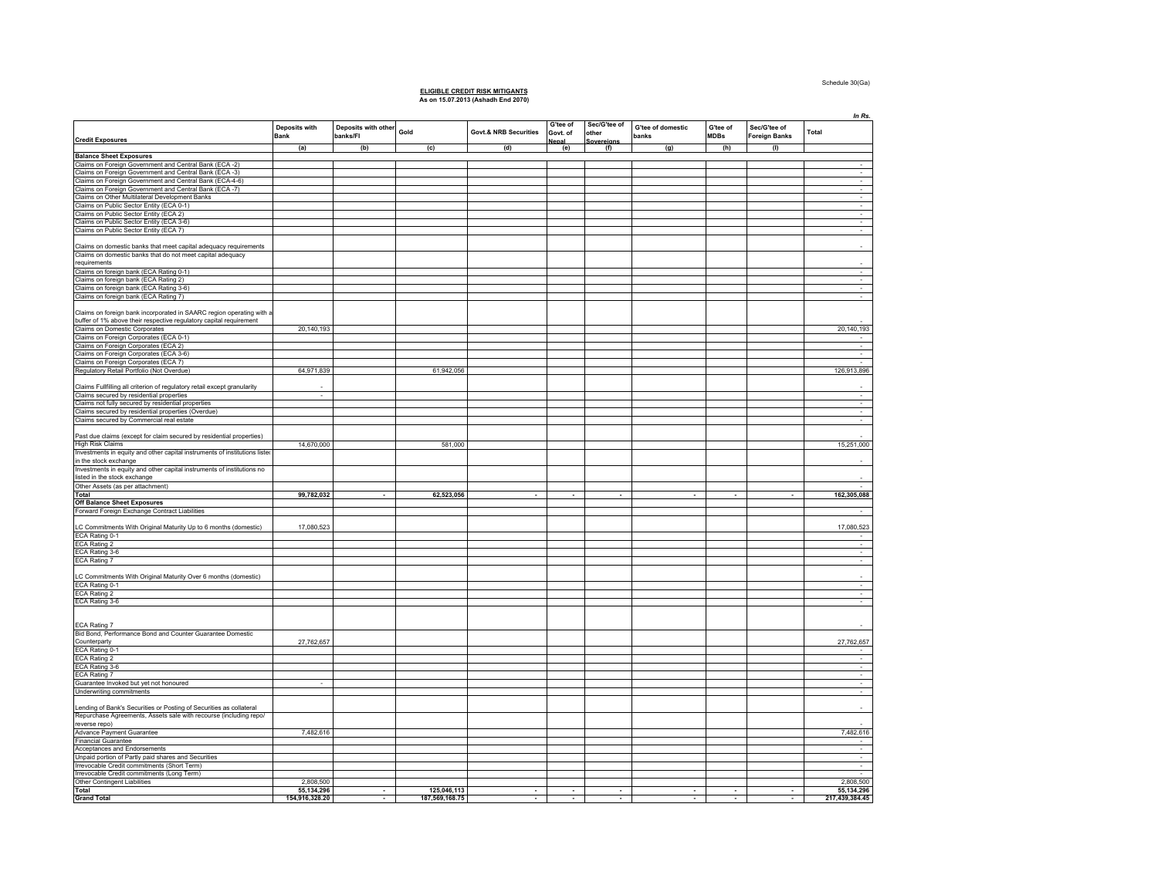#### Schedule 30(Ga)

## **ELIGIBLE CREDIT RISK MITIGANTS As on 15.07.2013 (Ashadh End 2070)**

|                                                                                                                                            |                              |                                 |                |                                  |                          |                       |                            |                         |                               | In Rs.         |
|--------------------------------------------------------------------------------------------------------------------------------------------|------------------------------|---------------------------------|----------------|----------------------------------|--------------------------|-----------------------|----------------------------|-------------------------|-------------------------------|----------------|
| <b>Credit Exposures</b>                                                                                                                    | Deposits with<br><b>Bank</b> | Deposits with other<br>banks/FI | Gold           | <b>Govt.&amp; NRB Securities</b> | G'tee of<br>Govt. of     | Sec/G'tee of<br>other | G'tee of domestic<br>banks | G'tee of<br><b>MDBs</b> | Sec/G'tee of<br>Foreign Banks | Total          |
|                                                                                                                                            | (a)                          | (b)                             | (c)            | (d)                              | Nepal<br>(e)             | Sovereians<br>(f)     | (g)                        | (h)                     | (1)                           |                |
| <b>Balance Sheet Exposures</b>                                                                                                             |                              |                                 |                |                                  |                          |                       |                            |                         |                               |                |
| Claims on Foreign Government and Central Bank (ECA -2)                                                                                     |                              |                                 |                |                                  |                          |                       |                            |                         |                               |                |
| Claims on Foreign Government and Central Bank (ECA -3)                                                                                     |                              |                                 |                |                                  |                          |                       |                            |                         |                               | $\sim$         |
| Claims on Foreign Government and Central Bank (ECA-4-6)                                                                                    |                              |                                 |                |                                  |                          |                       |                            |                         |                               | ÷              |
| Claims on Foreign Government and Central Bank (ECA -7)<br>Claims on Other Multilateral Development Banks                                   |                              |                                 |                |                                  |                          |                       |                            |                         |                               | $\sim$         |
| Claims on Public Sector Entity (ECA 0-1)                                                                                                   |                              |                                 |                |                                  |                          |                       |                            |                         |                               | $\sim$         |
| Claims on Public Sector Entity (ECA 2)                                                                                                     |                              |                                 |                |                                  |                          |                       |                            |                         |                               |                |
| Claims on Public Sector Entity (ECA 3-6)                                                                                                   |                              |                                 |                |                                  |                          |                       |                            |                         |                               |                |
| Claims on Public Sector Entity (ECA 7)                                                                                                     |                              |                                 |                |                                  |                          |                       |                            |                         |                               |                |
| Claims on domestic banks that meet capital adequacy requirements<br>Claims on domestic banks that do not meet capital adequacy             |                              |                                 |                |                                  |                          |                       |                            |                         |                               |                |
|                                                                                                                                            |                              |                                 |                |                                  |                          |                       |                            |                         |                               |                |
| requirements                                                                                                                               |                              |                                 |                |                                  |                          |                       |                            |                         |                               |                |
| Claims on foreign bank (ECA Rating 0-1)                                                                                                    |                              |                                 |                |                                  |                          |                       |                            |                         |                               | $\sim$         |
| Claims on foreign bank (ECA Rating 2)                                                                                                      |                              |                                 |                |                                  |                          |                       |                            |                         |                               | $\sim$         |
| Claims on foreign bank (ECA Rating 3-6)<br>Claims on foreign bank (ECA Rating 7)                                                           |                              |                                 |                |                                  |                          |                       |                            |                         |                               | ٠              |
|                                                                                                                                            |                              |                                 |                |                                  |                          |                       |                            |                         |                               |                |
| Claims on foreign bank incorporated in SAARC region operating with a<br>buffer of 1% above their respective regulatory capital requirement |                              |                                 |                |                                  |                          |                       |                            |                         |                               |                |
| Claims on Domestic Corporates                                                                                                              | 20, 140, 193                 |                                 |                |                                  |                          |                       |                            |                         |                               | 20,140,193     |
| Claims on Foreign Corporates (ECA 0-1)                                                                                                     |                              |                                 |                |                                  |                          |                       |                            |                         |                               |                |
| Claims on Foreign Corporates (ECA 2)                                                                                                       |                              |                                 |                |                                  |                          |                       |                            |                         |                               | $\sim$         |
| Claims on Foreign Corporates (ECA 3-6)                                                                                                     |                              |                                 |                |                                  |                          |                       |                            |                         |                               | $\sim$         |
| Claims on Foreign Corporates (ECA 7)                                                                                                       |                              |                                 |                |                                  |                          |                       |                            |                         |                               |                |
| Regulatory Retail Portfolio (Not Overdue)                                                                                                  | 64,971,839                   |                                 | 61,942,056     |                                  |                          |                       |                            |                         |                               | 126,913,896    |
|                                                                                                                                            |                              |                                 |                |                                  |                          |                       |                            |                         |                               |                |
| Claims Fullfilling all criterion of regulatory retail except granularity<br>Claims secured by residential properties                       | $\sim$                       |                                 |                |                                  |                          |                       |                            |                         |                               | $\sim$         |
| Claims not fully secured by residential properties                                                                                         |                              |                                 |                |                                  |                          |                       |                            |                         |                               |                |
| Claims secured by residential properties (Overdue)                                                                                         |                              |                                 |                |                                  |                          |                       |                            |                         |                               | $\sim$         |
| Claims secured by Commercial real estate                                                                                                   |                              |                                 |                |                                  |                          |                       |                            |                         |                               | $\sim$         |
|                                                                                                                                            |                              |                                 |                |                                  |                          |                       |                            |                         |                               |                |
| Past due claims (except for claim secured by residential properties)                                                                       |                              |                                 |                |                                  |                          |                       |                            |                         |                               |                |
| <b>High Risk Claims</b>                                                                                                                    | 14,670,000                   |                                 | 581,000        |                                  |                          |                       |                            |                         |                               | 15,251,000     |
| Investments in equity and other capital instruments of institutions listed                                                                 |                              |                                 |                |                                  |                          |                       |                            |                         |                               |                |
| in the stock exchange                                                                                                                      |                              |                                 |                |                                  |                          |                       |                            |                         |                               |                |
| Investments in equity and other capital instruments of institutions no                                                                     |                              |                                 |                |                                  |                          |                       |                            |                         |                               |                |
| listed in the stock exchange                                                                                                               |                              |                                 |                |                                  |                          |                       |                            |                         |                               |                |
| Other Assets (as per attachment)<br>Total                                                                                                  | 99,782,032                   |                                 | 62,523,056     | $\sim$                           |                          |                       | ٠                          |                         | $\sim$                        | 162,305,088    |
| <b>Off Balance Sheet Exposures</b>                                                                                                         |                              |                                 |                |                                  |                          |                       |                            |                         |                               |                |
| Forward Foreign Exchange Contract Liabilities                                                                                              |                              |                                 |                |                                  |                          |                       |                            |                         |                               |                |
|                                                                                                                                            |                              |                                 |                |                                  |                          |                       |                            |                         |                               |                |
| LC Commitments With Original Maturity Up to 6 months (domestic)<br>ECA Rating 0-1                                                          | 17,080,523                   |                                 |                |                                  |                          |                       |                            |                         |                               | 17,080,523     |
| ECA Rating 2                                                                                                                               |                              |                                 |                |                                  |                          |                       |                            |                         |                               | $\sim$         |
| ECA Rating 3-6                                                                                                                             |                              |                                 |                |                                  |                          |                       |                            |                         |                               | ٠              |
| ECA Rating 7                                                                                                                               |                              |                                 |                |                                  |                          |                       |                            |                         |                               | $\sim$         |
|                                                                                                                                            |                              |                                 |                |                                  |                          |                       |                            |                         |                               |                |
| C Commitments With Original Maturity Over 6 months (domestic)                                                                              |                              |                                 |                |                                  |                          |                       |                            |                         |                               |                |
| ECA Rating 0-1                                                                                                                             |                              |                                 |                |                                  |                          |                       |                            |                         |                               | $\sim$         |
| <b>ECA Rating 2</b>                                                                                                                        |                              |                                 |                |                                  |                          |                       |                            |                         |                               |                |
| ECA Rating 3-6                                                                                                                             |                              |                                 |                |                                  |                          |                       |                            |                         |                               | ÷              |
| ECA Rating 7                                                                                                                               |                              |                                 |                |                                  |                          |                       |                            |                         |                               |                |
| Bid Bond, Performance Bond and Counter Guarantee Domestic<br>Counterparty                                                                  | 27,762,657                   |                                 |                |                                  |                          |                       |                            |                         |                               | 27,762,657     |
| ECA Rating 0-1                                                                                                                             |                              |                                 |                |                                  |                          |                       |                            |                         |                               |                |
| <b>ECA Rating 2</b>                                                                                                                        |                              |                                 |                |                                  |                          |                       |                            |                         |                               |                |
| ECA Rating 3-6                                                                                                                             |                              |                                 |                |                                  |                          |                       |                            |                         |                               | т              |
| <b>ECA Rating 7</b>                                                                                                                        |                              |                                 |                |                                  |                          |                       |                            |                         |                               | $\sim$         |
| Guarantee Invoked but yet not honoured<br>Underwriting commitments                                                                         | $\sim$                       |                                 |                |                                  |                          |                       |                            |                         |                               | $\sim$<br>÷    |
|                                                                                                                                            |                              |                                 |                |                                  |                          |                       |                            |                         |                               |                |
| Lending of Bank's Securities or Posting of Securities as collateral                                                                        |                              |                                 |                |                                  |                          |                       |                            |                         |                               |                |
| Repurchase Agreements, Assets sale with recourse (including repoi                                                                          |                              |                                 |                |                                  |                          |                       |                            |                         |                               |                |
| reverse repo)                                                                                                                              |                              |                                 |                |                                  |                          |                       |                            |                         |                               |                |
| Advance Payment Guarantee                                                                                                                  | 7,482,616                    |                                 |                |                                  |                          |                       |                            |                         |                               | 7,482,616      |
| <b>Financial Guarantee</b>                                                                                                                 |                              |                                 |                |                                  |                          |                       |                            |                         |                               |                |
| Acceptances and Endorsements                                                                                                               |                              |                                 |                |                                  |                          |                       |                            |                         |                               | $\sim$         |
| Unpaid portion of Partly paid shares and Securities                                                                                        |                              |                                 |                |                                  |                          |                       |                            |                         |                               | $\sim$         |
| Irrevocable Credit commitments (Short Term)<br>Irrevocable Credit commitments (Long Term)                                                  |                              |                                 |                |                                  |                          |                       |                            |                         |                               |                |
| Other Contingent Liabilities                                                                                                               | 2.808.500                    |                                 |                |                                  |                          |                       |                            |                         |                               | 2,808,500      |
| Total                                                                                                                                      | 55, 134, 296                 | $\overline{\phantom{a}}$        | 125,046,113    | $\sim$                           | $\overline{\phantom{a}}$ | $\sim$                | $\mathbf{r}$               | $\sim$                  | $\sim$                        | 55, 134, 296   |
| <b>Grand Total</b>                                                                                                                         | 154,916,328.20               |                                 | 187,569,168.75 |                                  |                          |                       |                            |                         |                               | 217,439,384.45 |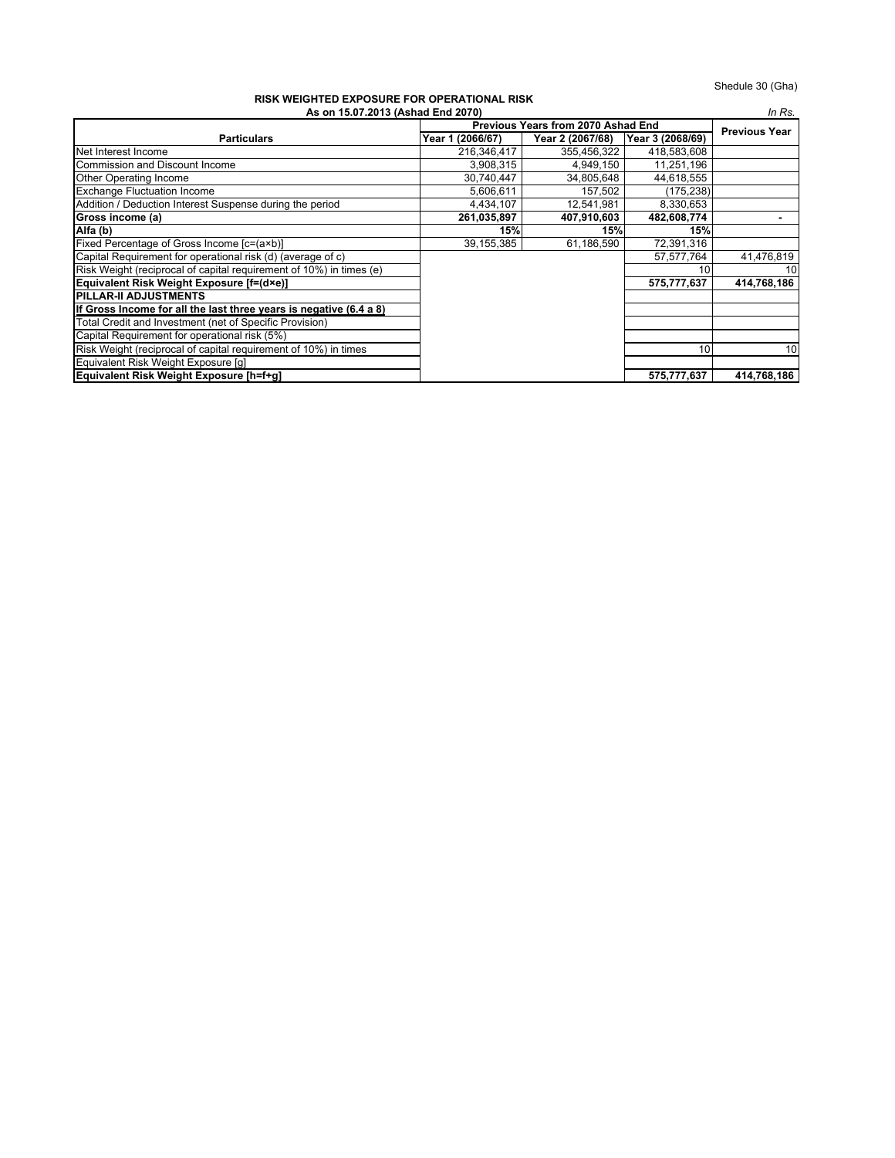### **As on 15.07.2013 (Ashad End 2070) RISK WEIGHTED EXPOSURE FOR OPERATIONAL RISK**

| ומטוז חיסות היה וט זוט ו שניסטט וגם שם חוסות שונות<br>As on 15.07.2013 (Ashad End 2070)<br>In Rs. |                  |                  |                  |                      |  |  |
|---------------------------------------------------------------------------------------------------|------------------|------------------|------------------|----------------------|--|--|
| Previous Years from 2070 Ashad End                                                                |                  |                  |                  |                      |  |  |
| <b>Particulars</b>                                                                                | Year 1 (2066/67) | Year 2 (2067/68) | Year 3 (2068/69) | <b>Previous Year</b> |  |  |
| Net Interest Income                                                                               | 216,346,417      | 355.456.322      | 418,583,608      |                      |  |  |
| Commission and Discount Income                                                                    | 3,908,315        | 4,949,150        | 11,251,196       |                      |  |  |
| <b>Other Operating Income</b>                                                                     | 30,740,447       | 34,805,648       | 44,618,555       |                      |  |  |
| <b>Exchange Fluctuation Income</b>                                                                | 5,606,611        | 157,502          | (175, 238)       |                      |  |  |
| Addition / Deduction Interest Suspense during the period                                          | 4,434,107        | 12.541.981       | 8,330,653        |                      |  |  |
| Gross income (a)                                                                                  | 261,035,897      | 407,910,603      | 482,608,774      |                      |  |  |
| Alfa (b)                                                                                          | 15%              | 15%              | 15%              |                      |  |  |
| Fixed Percentage of Gross Income [c=(a×b)]                                                        | 39, 155, 385     | 61,186,590       | 72,391,316       |                      |  |  |
| Capital Requirement for operational risk (d) (average of c)                                       |                  |                  | 57,577,764       | 41,476,819           |  |  |
| Risk Weight (reciprocal of capital requirement of 10%) in times (e)                               |                  |                  | 10               | 10                   |  |  |
| Equivalent Risk Weight Exposure [f=(d×e)]                                                         |                  |                  | 575,777,637      | 414,768,186          |  |  |
| <b>IPILLAR-II ADJUSTMENTS</b>                                                                     |                  |                  |                  |                      |  |  |
| If Gross Income for all the last three years is negative (6.4 a 8)                                |                  |                  |                  |                      |  |  |
| Total Credit and Investment (net of Specific Provision)                                           |                  |                  |                  |                      |  |  |
| Capital Requirement for operational risk (5%)                                                     |                  |                  |                  |                      |  |  |
| Risk Weight (reciprocal of capital requirement of 10%) in times                                   |                  |                  | 10 <sup>1</sup>  | 10                   |  |  |
| Equivalent Risk Weight Exposure [q]                                                               |                  |                  |                  |                      |  |  |
| Equivalent Risk Weight Exposure [h=f+g]                                                           |                  |                  | 575,777,637      | 414,768,186          |  |  |